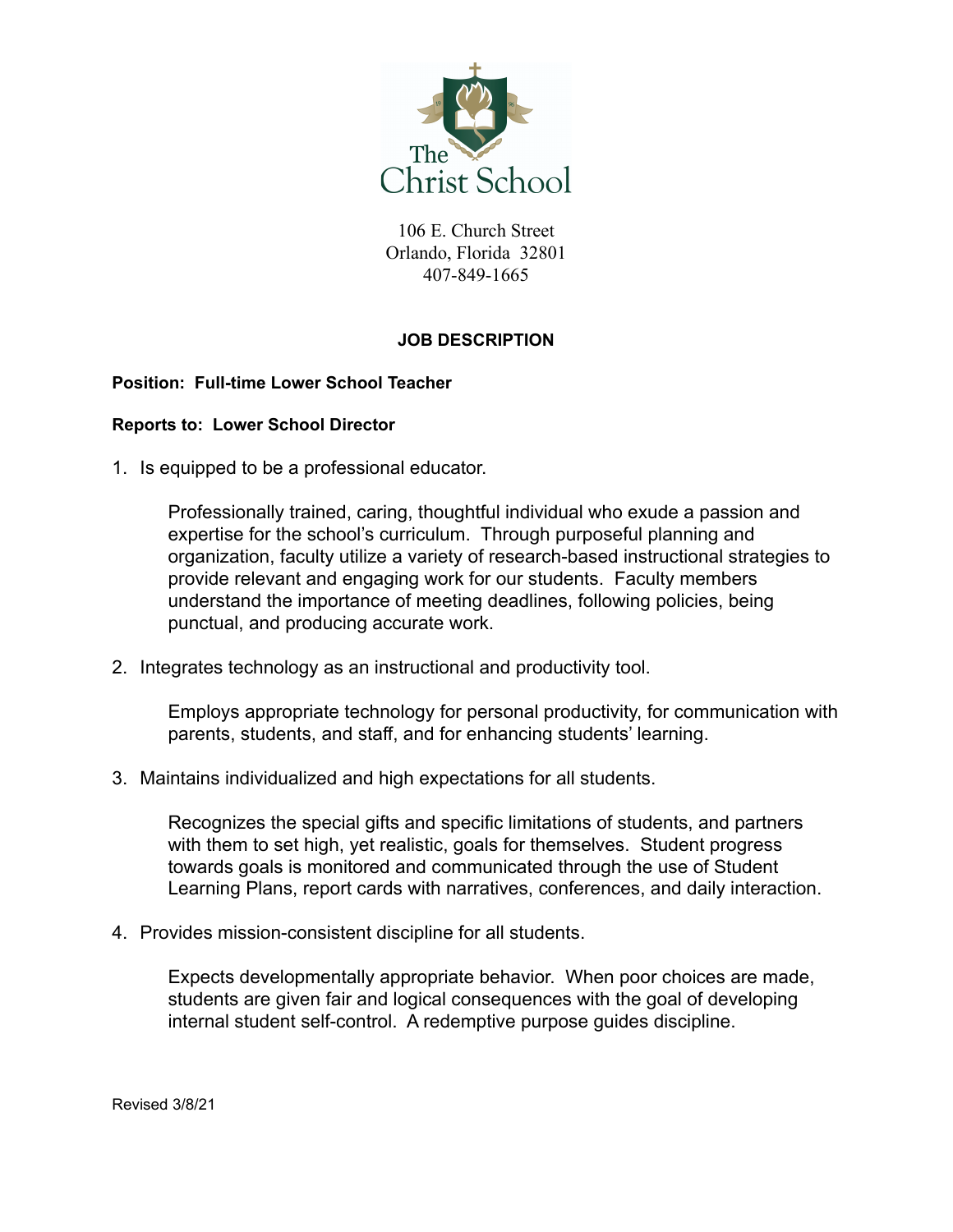

106 E. Church Street Orlando, Florida 32801 407-849-1665

## **JOB DESCRIPTION**

## **Position: Full-time Lower School Teacher**

## **Reports to: Lower School Director**

1. Is equipped to be a professional educator.

Professionally trained, caring, thoughtful individual who exude a passion and expertise for the school's curriculum. Through purposeful planning and organization, faculty utilize a variety of research-based instructional strategies to provide relevant and engaging work for our students. Faculty members understand the importance of meeting deadlines, following policies, being punctual, and producing accurate work.

2. Integrates technology as an instructional and productivity tool.

Employs appropriate technology for personal productivity, for communication with parents, students, and staff, and for enhancing students' learning.

3. Maintains individualized and high expectations for all students.

Recognizes the special gifts and specific limitations of students, and partners with them to set high, yet realistic, goals for themselves. Student progress towards goals is monitored and communicated through the use of Student Learning Plans, report cards with narratives, conferences, and daily interaction.

4. Provides mission-consistent discipline for all students.

Expects developmentally appropriate behavior. When poor choices are made, students are given fair and logical consequences with the goal of developing internal student self-control. A redemptive purpose guides discipline.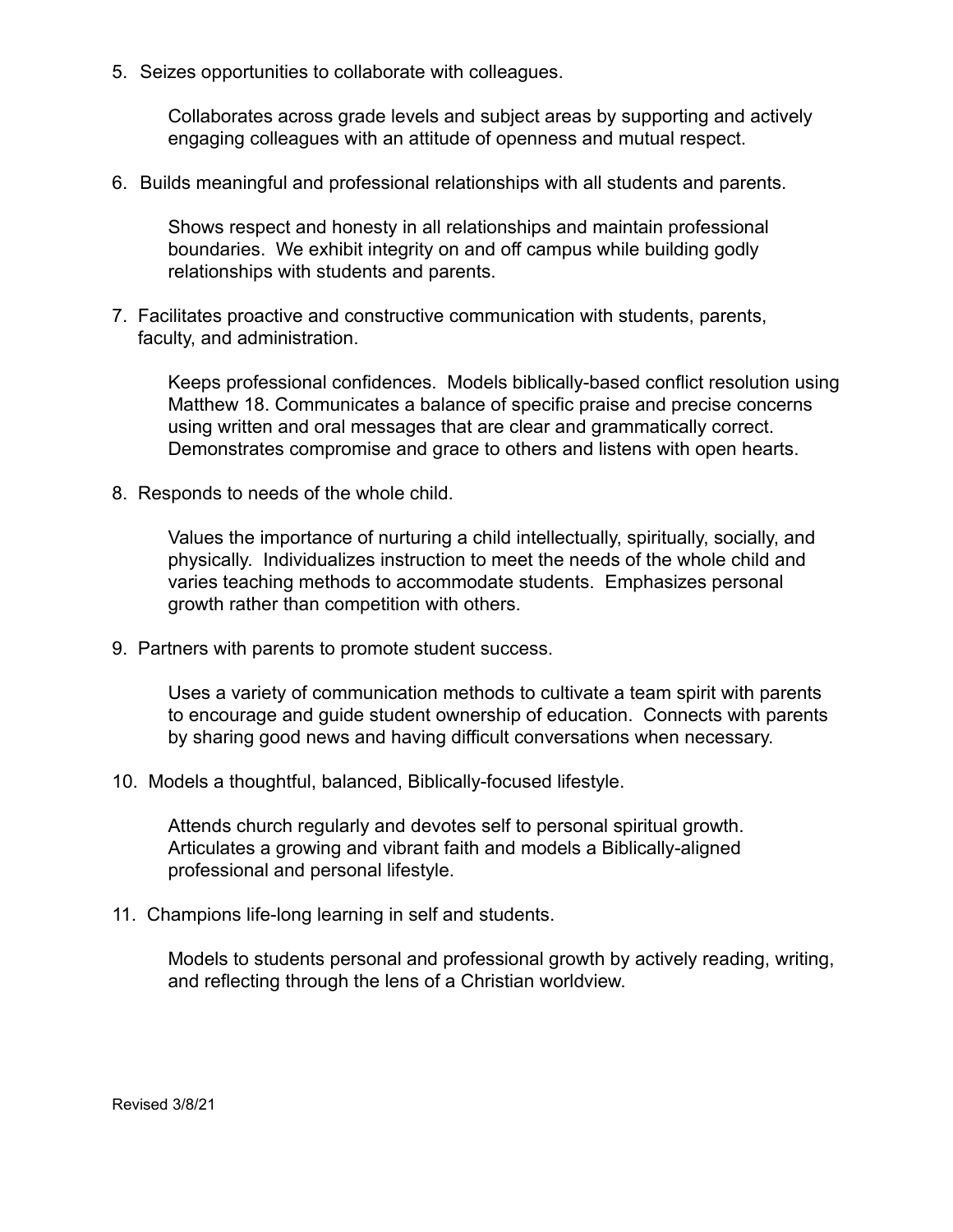5. Seizes opportunities to collaborate with colleagues.

Collaborates across grade levels and subject areas by supporting and actively engaging colleagues with an attitude of openness and mutual respect.

6. Builds meaningful and professional relationships with all students and parents.

Shows respect and honesty in all relationships and maintain professional boundaries. We exhibit integrity on and off campus while building godly relationships with students and parents.

7. Facilitates proactive and constructive communication with students, parents, faculty, and administration.

Keeps professional confidences. Models biblically-based conflict resolution using Matthew 18. Communicates a balance of specific praise and precise concerns using written and oral messages that are clear and grammatically correct. Demonstrates compromise and grace to others and listens with open hearts.

8. Responds to needs of the whole child.

Values the importance of nurturing a child intellectually, spiritually, socially, and physically. Individualizes instruction to meet the needs of the whole child and varies teaching methods to accommodate students. Emphasizes personal growth rather than competition with others.

9. Partners with parents to promote student success.

Uses a variety of communication methods to cultivate a team spirit with parents to encourage and guide student ownership of education. Connects with parents by sharing good news and having difficult conversations when necessary.

10. Models a thoughtful, balanced, Biblically-focused lifestyle.

Attends church regularly and devotes self to personal spiritual growth. Articulates a growing and vibrant faith and models a Biblically-aligned professional and personal lifestyle.

11. Champions life-long learning in self and students.

Models to students personal and professional growth by actively reading, writing, and reflecting through the lens of a Christian worldview.